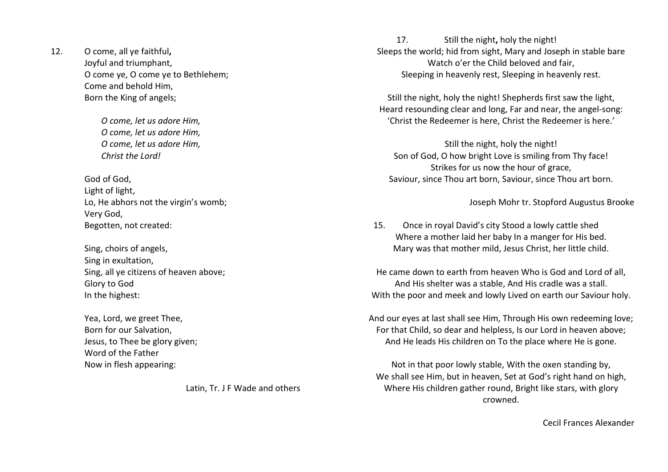12. O come, all ye faithful, Joyful and triumphant, O come ye, O come ye to Bethlehem; Come and behold Him, Born the King of angels;

> O come, let us adore Him, O come, let us adore Him, O come, let us adore Him, Christ the Lord!

God of God, Light of light, Lo, He abhors not the virgin's womb; Very God, Begotten, not created:

Sing, choirs of angels, Sing in exultation, Sing, all ye citizens of heaven above; Glory to God In the highest:

Yea, Lord, we greet Thee, Born for our Salvation, Jesus, to Thee be glory given; Word of the Father Now in flesh appearing:

Latin, Tr. J F Wade and others

17. Still the night, holy the night! Sleeps the world; hid from sight, Mary and Joseph in stable bare Watch o'er the Child beloved and fair, Sleeping in heavenly rest, Sleeping in heavenly rest.

Still the night, holy the night! Shepherds first saw the light, Heard resounding clear and long, Far and near, the angel-song: 'Christ the Redeemer is here, Christ the Redeemer is here.'

Still the night, holy the night! Son of God, O how bright Love is smiling from Thy face! Strikes for us now the hour of grace, Saviour, since Thou art born, Saviour, since Thou art born.

Joseph Mohr tr. Stopford Augustus Brooke

15. Once in royal David's city Stood a lowly cattle shed Where a mother laid her baby In a manger for His bed. Mary was that mother mild, Jesus Christ, her little child.

He came down to earth from heaven Who is God and Lord of all, And His shelter was a stable, And His cradle was a stall. With the poor and meek and lowly Lived on earth our Saviour holy.

And our eyes at last shall see Him, Through His own redeeming love; For that Child, so dear and helpless, Is our Lord in heaven above; And He leads His children on To the place where He is gone.

Not in that poor lowly stable, With the oxen standing by, We shall see Him, but in heaven, Set at God's right hand on high, Where His children gather round, Bright like stars, with glory crowned.

Cecil Frances Alexander